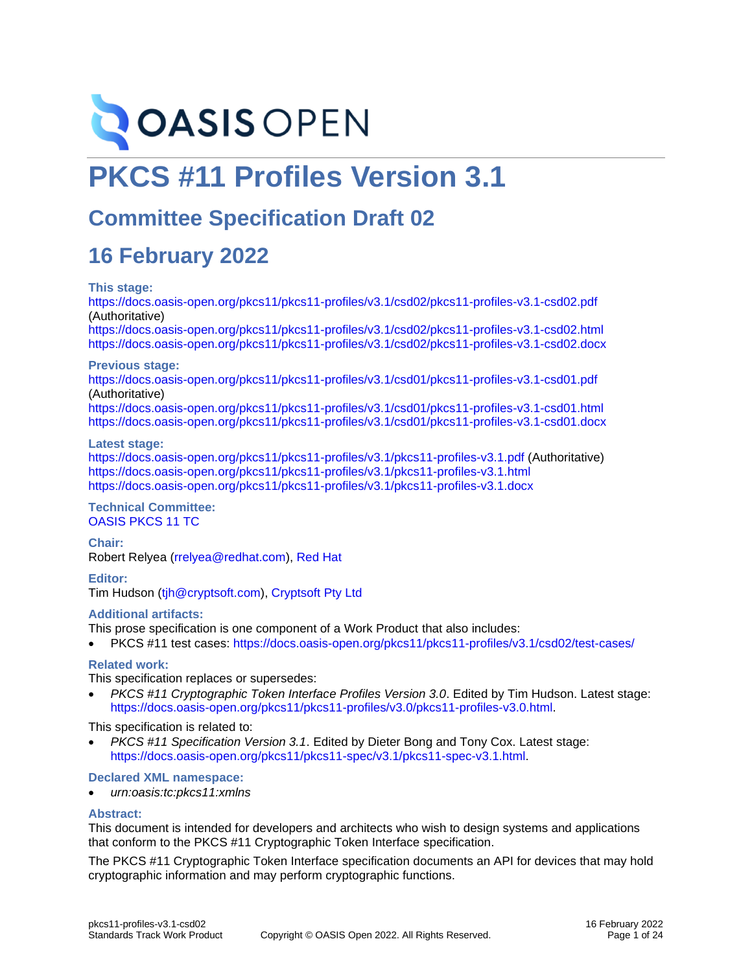

# **PKCS #11 Profiles Version 3.1**

## **Committee Specification Draft 02**

## **16 February 2022**

#### **This stage:**

<https://docs.oasis-open.org/pkcs11/pkcs11-profiles/v3.1/csd02/pkcs11-profiles-v3.1-csd02.pdf> (Authoritative)

<https://docs.oasis-open.org/pkcs11/pkcs11-profiles/v3.1/csd02/pkcs11-profiles-v3.1-csd02.html> <https://docs.oasis-open.org/pkcs11/pkcs11-profiles/v3.1/csd02/pkcs11-profiles-v3.1-csd02.docx>

#### **Previous stage:**

<https://docs.oasis-open.org/pkcs11/pkcs11-profiles/v3.1/csd01/pkcs11-profiles-v3.1-csd01.pdf> (Authoritative)

<https://docs.oasis-open.org/pkcs11/pkcs11-profiles/v3.1/csd01/pkcs11-profiles-v3.1-csd01.html> <https://docs.oasis-open.org/pkcs11/pkcs11-profiles/v3.1/csd01/pkcs11-profiles-v3.1-csd01.docx>

#### **Latest stage:**

<https://docs.oasis-open.org/pkcs11/pkcs11-profiles/v3.1/pkcs11-profiles-v3.1.pdf> (Authoritative) <https://docs.oasis-open.org/pkcs11/pkcs11-profiles/v3.1/pkcs11-profiles-v3.1.html> <https://docs.oasis-open.org/pkcs11/pkcs11-profiles/v3.1/pkcs11-profiles-v3.1.docx>

#### **Technical Committee:** [OASIS PKCS 11 TC](https://www.oasis-open.org/committees/pkcs11/)

**Chair:** Robert Relyea [\(rrelyea@redhat.com\)](mailto:rrelyea@redhat.com), [Red Hat](http://www.redhat.com/)

**Editor:** Tim Hudson [\(tjh@cryptsoft.com\)](mailto:tjh@cryptsoft.com), [Cryptsoft Pty Ltd](https://cryptsoft.com/)

#### **Additional artifacts:**

This prose specification is one component of a Work Product that also includes:

• PKCS #11 test cases: <https://docs.oasis-open.org/pkcs11/pkcs11-profiles/v3.1/csd02/test-cases/>

#### **Related work:**

This specification replaces or supersedes:

• *PKCS #11 Cryptographic Token Interface Profiles Version 3.0*. Edited by Tim Hudson. Latest stage: [https://docs.oasis-open.org/pkcs11/pkcs11-profiles/v3.0/pkcs11-profiles-v3.0.html.](https://docs.oasis-open.org/pkcs11/pkcs11-profiles/v3.0/pkcs11-profiles-v3.0.html)

This specification is related to:

• *PKCS #11 Specification Version 3.1*. Edited by Dieter Bong and Tony Cox. Latest stage: [https://docs.oasis-open.org/pkcs11/pkcs11-spec/v3.1/pkcs11-spec-v3.1.html.](https://docs.oasis-open.org/pkcs11/pkcs11-spec/v3.1/pkcs11-spec-v3.1.html)

#### **Declared XML namespace:**

• *urn:oasis:tc:pkcs11:xmlns*

#### **Abstract:**

This document is intended for developers and architects who wish to design systems and applications that conform to the PKCS #11 Cryptographic Token Interface specification.

The PKCS #11 Cryptographic Token Interface specification documents an API for devices that may hold cryptographic information and may perform cryptographic functions.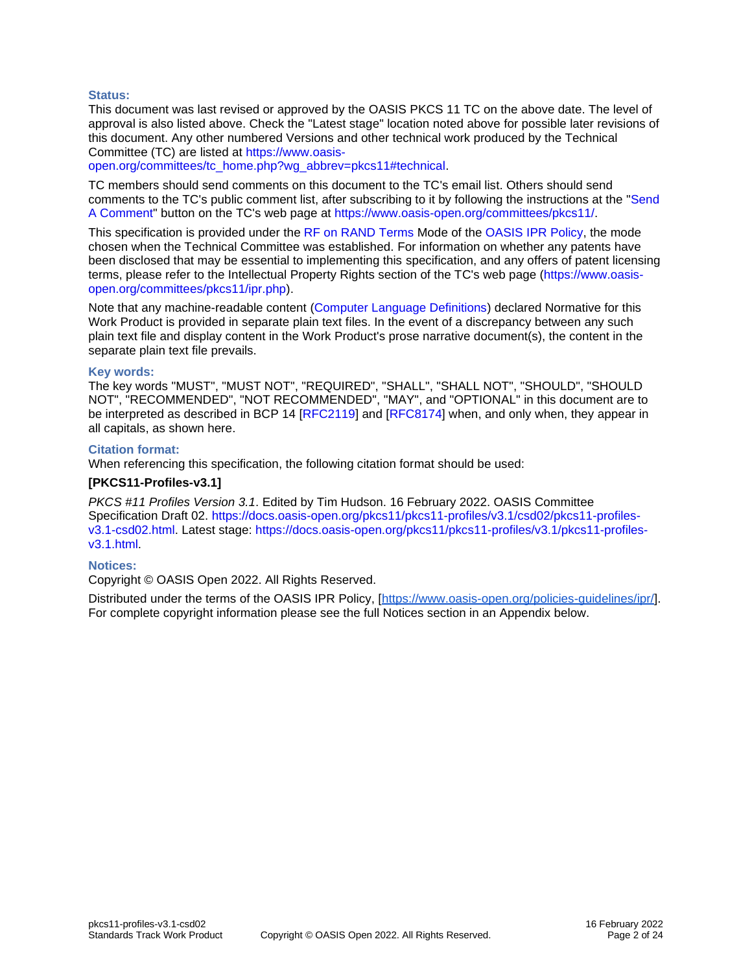#### **Status:**

This document was last revised or approved by the OASIS PKCS 11 TC on the above date. The level of approval is also listed above. Check the "Latest stage" location noted above for possible later revisions of this document. Any other numbered Versions and other technical work produced by the Technical Committee (TC) are listed at [https://www.oasis-](https://www.oasis-open.org/committees/tc_home.php?wg_abbrev=pkcs11#technical)

[open.org/committees/tc\\_home.php?wg\\_abbrev=pkcs11#technical.](https://www.oasis-open.org/committees/tc_home.php?wg_abbrev=pkcs11#technical)

TC members should send comments on this document to the TC's email list. Others should send comments to the TC's public comment list, after subscribing to it by following the instructions at the ["Send](https://www.oasis-open.org/committees/comments/index.php?wg_abbrev=pkcs11)  [A Comment"](https://www.oasis-open.org/committees/comments/index.php?wg_abbrev=pkcs11) button on the TC's web page at [https://www.oasis-open.org/committees/pkcs11/.](https://www.oasis-open.org/committees/pkcs11/)

This specification is provided under the [RF on RAND Terms](https://www.oasis-open.org/policies-guidelines/ipr/#RF-on-RAND-Mode) Mode of the [OASIS IPR Policy,](https://www.oasis-open.org/policies-guidelines/ipr/) the mode chosen when the Technical Committee was established. For information on whether any patents have been disclosed that may be essential to implementing this specification, and any offers of patent licensing terms, please refer to the Intellectual Property Rights section of the TC's web page [\(https://www.oasis](https://www.oasis-open.org/committees/pkcs11/ipr.php)[open.org/committees/pkcs11/ipr.php\)](https://www.oasis-open.org/committees/pkcs11/ipr.php).

Note that any machine-readable content [\(Computer Language Definitions\)](https://www.oasis-open.org/policies-guidelines/tc-process-2017-05-26/#wpComponentsCompLang) declared Normative for this Work Product is provided in separate plain text files. In the event of a discrepancy between any such plain text file and display content in the Work Product's prose narrative document(s), the content in the separate plain text file prevails.

#### **Key words:**

The key words "MUST", "MUST NOT", "REQUIRED", "SHALL", "SHALL NOT", "SHOULD", "SHOULD NOT", "RECOMMENDED", "NOT RECOMMENDED", "MAY", and "OPTIONAL" in this document are to be interpreted as described in BCP 14 [\[RFC2119\]](#page-4-0) and [\[RFC8174\]](#page-4-1) when, and only when, they appear in all capitals, as shown here.

#### **Citation format:**

When referencing this specification, the following citation format should be used:

#### **[PKCS11-Profiles-v3.1]**

*PKCS #11 Profiles Version 3.1*. Edited by Tim Hudson. 16 February 2022. OASIS Committee Specification Draft 02. [https://docs.oasis-open.org/pkcs11/pkcs11-profiles/v3.1/csd02/pkcs11-profiles](https://docs.oasis-open.org/pkcs11/pkcs11-profiles/v3.1/csd02/pkcs11-profiles-v3.1-csd02.html)[v3.1-csd02.html.](https://docs.oasis-open.org/pkcs11/pkcs11-profiles/v3.1/csd02/pkcs11-profiles-v3.1-csd02.html) Latest stage: [https://docs.oasis-open.org/pkcs11/pkcs11-profiles/v3.1/pkcs11-profiles](https://docs.oasis-open.org/pkcs11/pkcs11-profiles/v3.1/pkcs11-profiles-v3.1.html)[v3.1.html.](https://docs.oasis-open.org/pkcs11/pkcs11-profiles/v3.1/pkcs11-profiles-v3.1.html)

#### **Notices:**

Copyright © OASIS Open 2022. All Rights Reserved.

Distributed under the terms of the OASIS IPR Policy, [\[https://www.oasis-open.org/policies-guidelines/ipr/\]](https://www.oasis-open.org/policies-guidelines/ipr/). For complete copyright information please see the full Notices section in an Appendix below.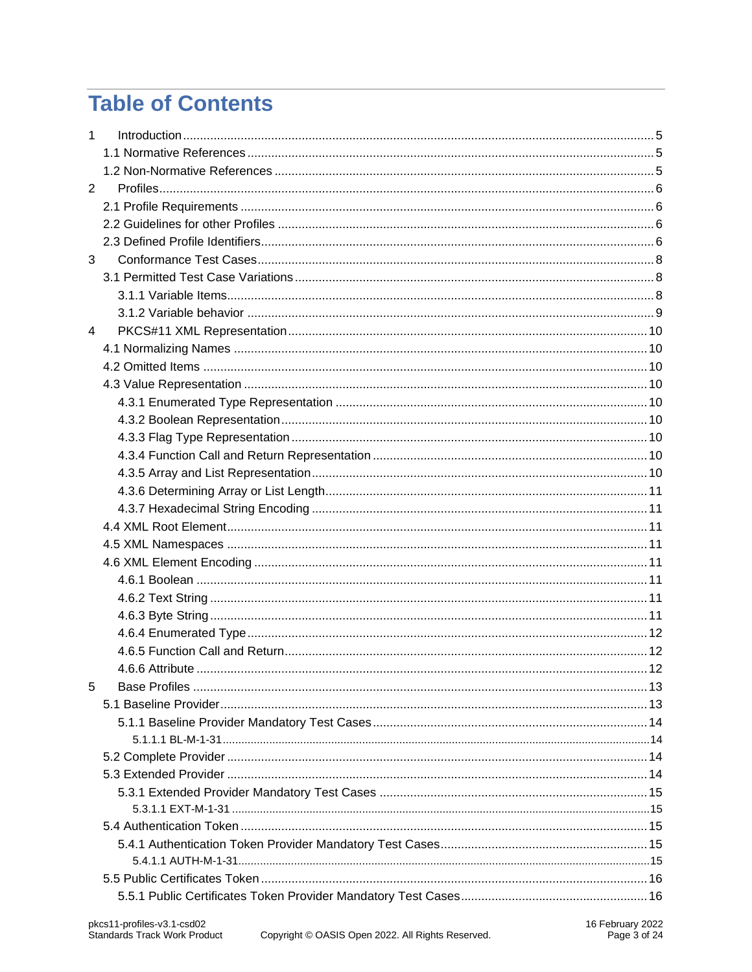## **Table of Contents**

| $\mathbf{1}$   |  |
|----------------|--|
|                |  |
|                |  |
| $\overline{2}$ |  |
|                |  |
|                |  |
|                |  |
| 3              |  |
|                |  |
|                |  |
|                |  |
| $\overline{4}$ |  |
|                |  |
|                |  |
|                |  |
|                |  |
|                |  |
|                |  |
|                |  |
|                |  |
|                |  |
|                |  |
|                |  |
|                |  |
|                |  |
|                |  |
|                |  |
|                |  |
|                |  |
|                |  |
|                |  |
| 5              |  |
|                |  |
|                |  |
|                |  |
|                |  |
|                |  |
|                |  |
|                |  |
|                |  |
|                |  |
|                |  |
|                |  |
|                |  |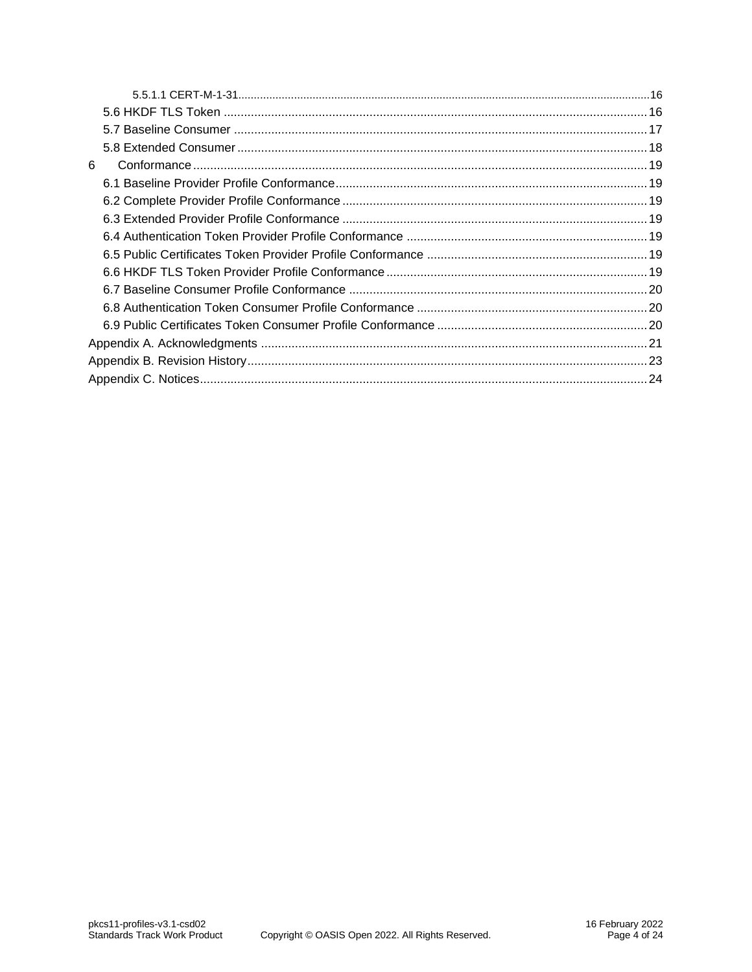| 6 |  |
|---|--|
|   |  |
|   |  |
|   |  |
|   |  |
|   |  |
|   |  |
|   |  |
|   |  |
|   |  |
|   |  |
|   |  |
|   |  |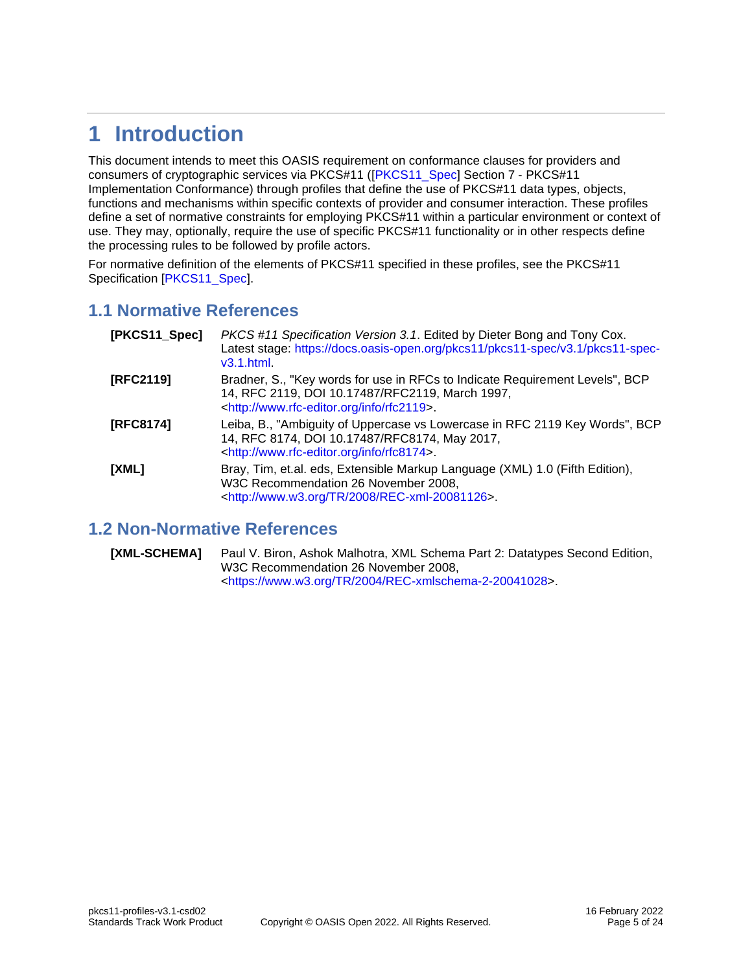## <span id="page-4-2"></span>**1 Introduction**

This document intends to meet this OASIS requirement on conformance clauses for providers and consumers of cryptographic services via PKCS#11 ([\[PKCS11\\_Spec\]](#page-4-5) Section 7 - PKCS#11 Implementation Conformance) through profiles that define the use of PKCS#11 data types, objects, functions and mechanisms within specific contexts of provider and consumer interaction. These profiles define a set of normative constraints for employing PKCS#11 within a particular environment or context of use. They may, optionally, require the use of specific PKCS#11 functionality or in other respects define the processing rules to be followed by profile actors.

For normative definition of the elements of PKCS#11 specified in these profiles, see the PKCS#11 Specification [\[PKCS11\\_Spec\]](#page-4-5).

#### <span id="page-4-3"></span>**1.1 Normative References**

<span id="page-4-5"></span><span id="page-4-1"></span><span id="page-4-0"></span>

| [PKCS11_Spec] | PKCS #11 Specification Version 3.1. Edited by Dieter Bong and Tony Cox.<br>Latest stage: https://docs.oasis-open.org/pkcs11/pkcs11-spec/v3.1/pkcs11-spec-<br>v3.1.html.                      |
|---------------|----------------------------------------------------------------------------------------------------------------------------------------------------------------------------------------------|
| [RFC2119]     | Bradner, S., "Key words for use in RFCs to Indicate Requirement Levels", BCP<br>14, RFC 2119, DOI 10.17487/RFC2119, March 1997,<br><http: info="" rfc2119="" www.rfc-editor.org="">.</http:> |
| [RFC8174]     | Leiba, B., "Ambiguity of Uppercase vs Lowercase in RFC 2119 Key Words", BCP<br>14, RFC 8174, DOI 10.17487/RFC8174, May 2017,<br><http: info="" rfc8174="" www.rfc-editor.org="">.</http:>    |
| [XML]         | Bray, Tim, et.al. eds, Extensible Markup Language (XML) 1.0 (Fifth Edition),<br>W3C Recommendation 26 November 2008,<br><http: 2008="" rec-xml-20081126="" tr="" www.w3.org="">.</http:>     |

#### <span id="page-4-4"></span>**1.2 Non-Normative References**

**[XML-SCHEMA]** Paul V. Biron, Ashok Malhotra, XML Schema Part 2: Datatypes Second Edition, W3C Recommendation 26 November 2008, [<https://www.w3.org/TR/2004/REC-xmlschema-2-20041028>](https://www.w3.org/TR/2004/REC-xmlschema-2-20041028).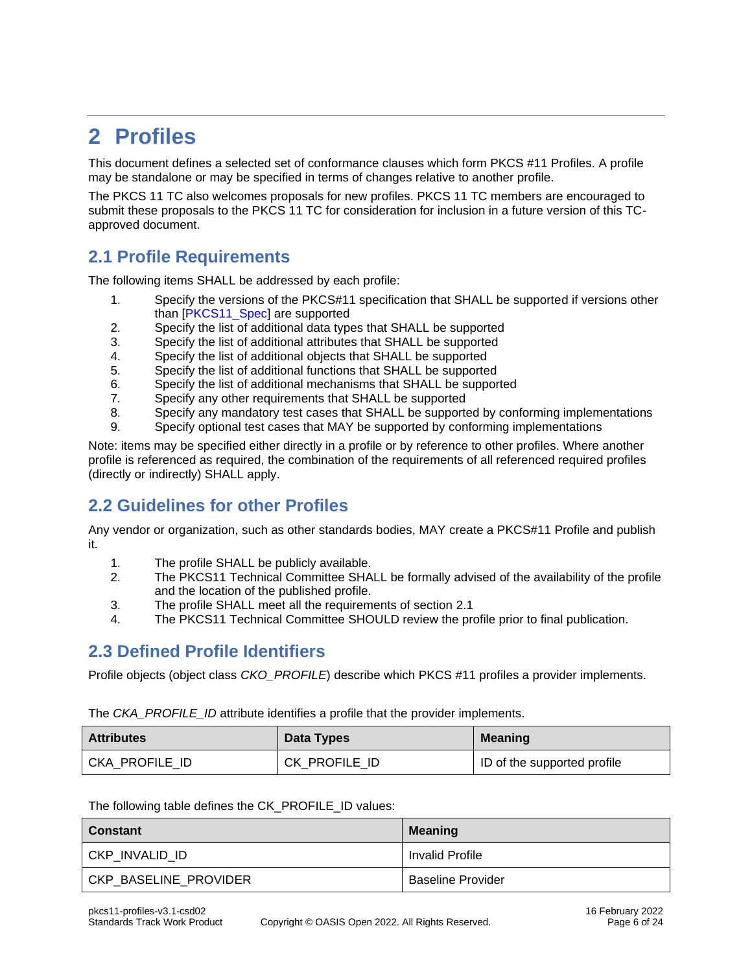## <span id="page-5-0"></span>**2 Profiles**

This document defines a selected set of conformance clauses which form PKCS #11 Profiles. A profile may be standalone or may be specified in terms of changes relative to another profile.

The PKCS 11 TC also welcomes proposals for new profiles. PKCS 11 TC members are encouraged to submit these proposals to the PKCS 11 TC for consideration for inclusion in a future version of this TCapproved document.

### <span id="page-5-1"></span>**2.1 Profile Requirements**

The following items SHALL be addressed by each profile:

- 1. Specify the versions of the PKCS#11 specification that SHALL be supported if versions other than [\[PKCS11\\_Spec\]](#page-4-5) are supported
- 2. Specify the list of additional data types that SHALL be supported
- 3. Specify the list of additional attributes that SHALL be supported
- 4. Specify the list of additional objects that SHALL be supported
- 5. Specify the list of additional functions that SHALL be supported
- 6. Specify the list of additional mechanisms that SHALL be supported
- 7. Specify any other requirements that SHALL be supported
- 8. Specify any mandatory test cases that SHALL be supported by conforming implementations
- 9. Specify optional test cases that MAY be supported by conforming implementations

Note: items may be specified either directly in a profile or by reference to other profiles. Where another profile is referenced as required, the combination of the requirements of all referenced required profiles (directly or indirectly) SHALL apply.

#### <span id="page-5-2"></span>**2.2 Guidelines for other Profiles**

Any vendor or organization, such as other standards bodies, MAY create a PKCS#11 Profile and publish it.

- 1. The profile SHALL be publicly available.
- 2. The PKCS11 Technical Committee SHALL be formally advised of the availability of the profile and the location of the published profile.
- 3. The profile SHALL meet all the requirements of section [2.1](#page-5-1)
- 4. The PKCS11 Technical Committee SHOULD review the profile prior to final publication.

#### <span id="page-5-3"></span>**2.3 Defined Profile Identifiers**

Profile objects (object class *CKO\_PROFILE*) describe which PKCS #11 profiles a provider implements.

The *CKA\_PROFILE\_ID* attribute identifies a profile that the provider implements.

| <b>Attributes</b> | Data Types    | <b>Meaning</b>              |
|-------------------|---------------|-----------------------------|
| CKA PROFILE ID    | CK PROFILE ID | ID of the supported profile |

The following table defines the CK\_PROFILE\_ID values:

| Constant                | Meaning                  |
|-------------------------|--------------------------|
| l CKP INVALID ID        | <b>Invalid Profile</b>   |
| l CKP BASELINE PROVIDER | <b>Baseline Provider</b> |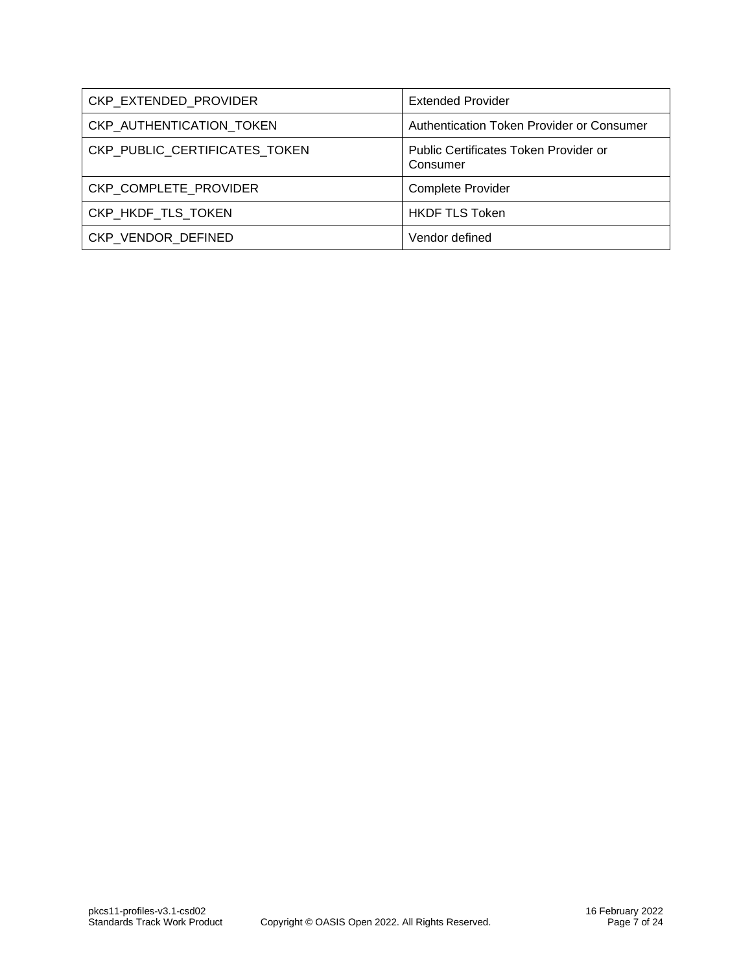| CKP EXTENDED PROVIDER         | <b>Extended Provider</b>                          |
|-------------------------------|---------------------------------------------------|
| CKP AUTHENTICATION TOKEN      | Authentication Token Provider or Consumer         |
| CKP PUBLIC CERTIFICATES TOKEN | Public Certificates Token Provider or<br>Consumer |
| CKP COMPLETE PROVIDER         | <b>Complete Provider</b>                          |
| CKP HKDF_TLS_TOKEN            | <b>HKDF TLS Token</b>                             |
| CKP VENDOR DEFINED            | Vendor defined                                    |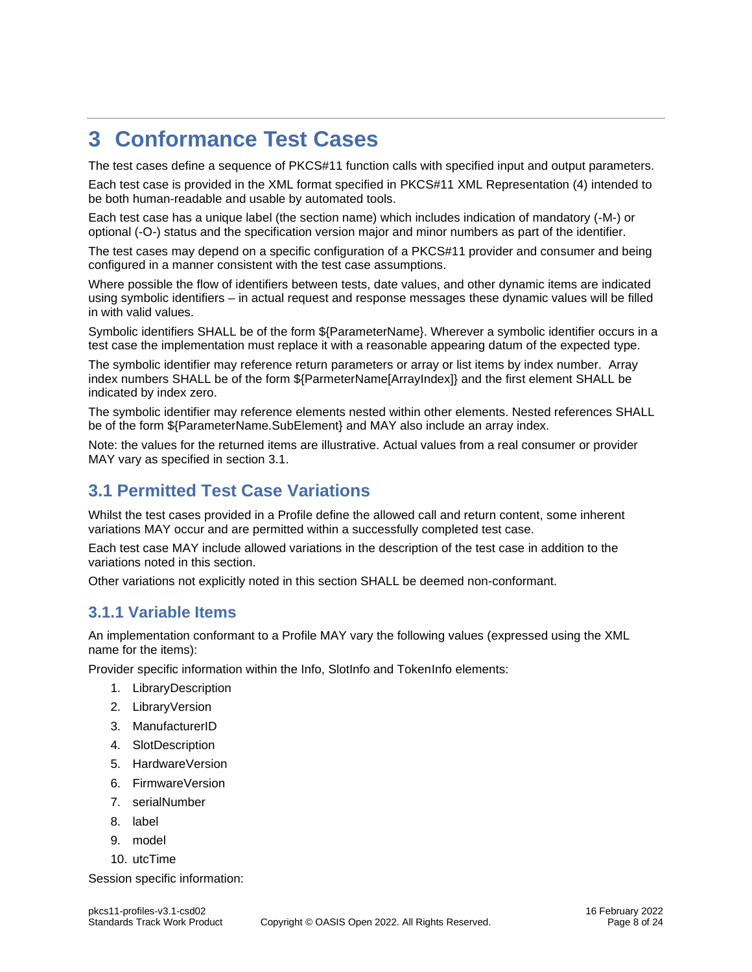## <span id="page-7-0"></span>**3 Conformance Test Cases**

The test cases define a sequence of PKCS#11 function calls with specified input and output parameters. Each test case is provided in the XML format specified in [PKCS#11 XML Representation](#page-9-0) [\(4\)](#page-9-0) intended to be both human-readable and usable by automated tools.

Each test case has a unique label (the section name) which includes indication of mandatory (-M-) or optional (-O-) status and the specification version major and minor numbers as part of the identifier.

The test cases may depend on a specific configuration of a PKCS#11 provider and consumer and being configured in a manner consistent with the test case assumptions.

Where possible the flow of identifiers between tests, date values, and other dynamic items are indicated using symbolic identifiers – in actual request and response messages these dynamic values will be filled in with valid values.

Symbolic identifiers SHALL be of the form \${ParameterName}. Wherever a symbolic identifier occurs in a test case the implementation must replace it with a reasonable appearing datum of the expected type.

The symbolic identifier may reference return parameters or array or list items by index number. Array index numbers SHALL be of the form \${ParmeterName[ArrayIndex]} and the first element SHALL be indicated by index zero.

The symbolic identifier may reference elements nested within other elements. Nested references SHALL be of the form \${ParameterName.SubElement} and MAY also include an array index.

Note: the values for the returned items are illustrative. Actual values from a real consumer or provider MAY vary as specified in section [3.1.](#page-7-1)

### <span id="page-7-1"></span>**3.1 Permitted Test Case Variations**

Whilst the test cases provided in a Profile define the allowed call and return content, some inherent variations MAY occur and are permitted within a successfully completed test case.

Each test case MAY include allowed variations in the description of the test case in addition to the variations noted in this section.

Other variations not explicitly noted in this section SHALL be deemed non-conformant.

#### <span id="page-7-2"></span>**3.1.1 Variable Items**

An implementation conformant to a Profile MAY vary the following values (expressed using the XML name for the items):

Provider specific information within the Info, SlotInfo and TokenInfo elements:

- 1. LibraryDescription
- 2. LibraryVersion
- 3. ManufacturerID
- 4. SlotDescription
- 5. HardwareVersion
- 6. FirmwareVersion
- 7. serialNumber
- 8. label
- 9. model
- 10. utcTime

Session specific information: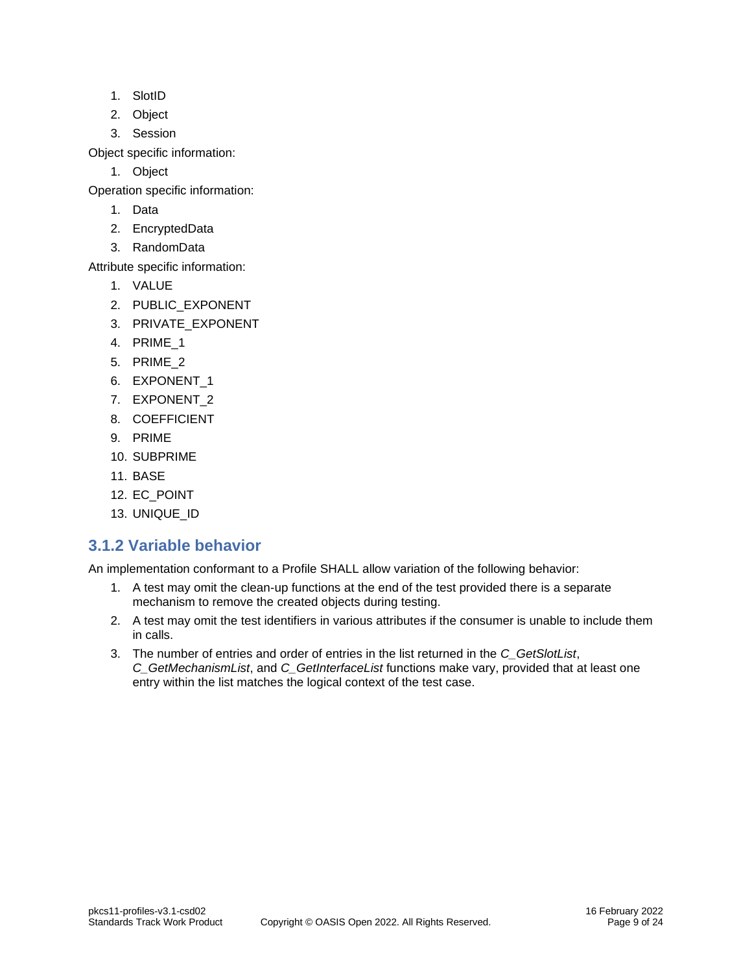- 1. SlotID
- 2. Object
- 3. Session

Object specific information:

1. Object

Operation specific information:

- 1. Data
- 2. EncryptedData
- 3. RandomData

Attribute specific information:

- 1. VALUE
- 2. PUBLIC\_EXPONENT
- 3. PRIVATE\_EXPONENT
- 4. PRIME\_1
- 5. PRIME\_2
- 6. EXPONENT\_1
- 7. EXPONENT\_2
- 8. COEFFICIENT
- 9. PRIME
- 10. SUBPRIME
- 11. BASE
- 12. EC\_POINT
- 13. UNIQUE\_ID

#### <span id="page-8-0"></span>**3.1.2 Variable behavior**

An implementation conformant to a Profile SHALL allow variation of the following behavior:

- 1. A test may omit the clean-up functions at the end of the test provided there is a separate mechanism to remove the created objects during testing.
- 2. A test may omit the test identifiers in various attributes if the consumer is unable to include them in calls.
- 3. The number of entries and order of entries in the list returned in the *C\_GetSlotList*, *C\_GetMechanismList*, and *C\_GetInterfaceList* functions make vary, provided that at least one entry within the list matches the logical context of the test case.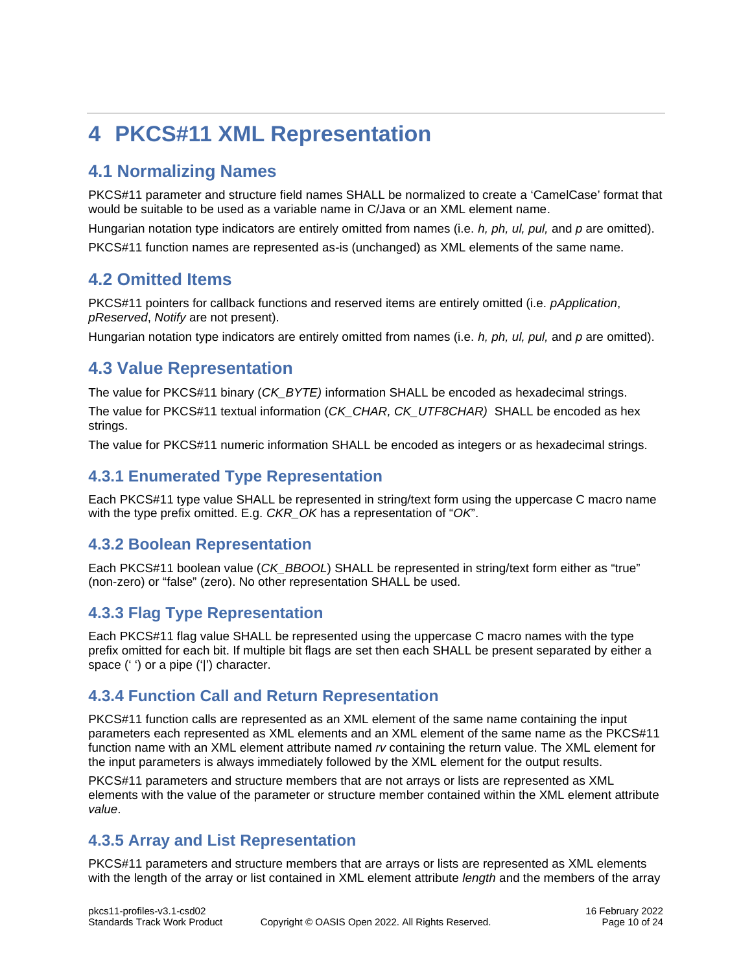## <span id="page-9-0"></span>**4 PKCS#11 XML Representation**

### <span id="page-9-1"></span>**4.1 Normalizing Names**

PKCS#11 parameter and structure field names SHALL be normalized to create a 'CamelCase' format that would be suitable to be used as a variable name in C/Java or an XML element name.

Hungarian notation type indicators are entirely omitted from names (i.e. *h, ph, ul, pul,* and *p* are omitted).

PKCS#11 function names are represented as-is (unchanged) as XML elements of the same name.

### <span id="page-9-2"></span>**4.2 Omitted Items**

PKCS#11 pointers for callback functions and reserved items are entirely omitted (i.e. *pApplication*, *pReserved*, *Notify* are not present).

Hungarian notation type indicators are entirely omitted from names (i.e. *h, ph, ul, pul,* and *p* are omitted).

### <span id="page-9-3"></span>**4.3 Value Representation**

The value for PKCS#11 binary (*CK\_BYTE)* information SHALL be encoded as hexadecimal strings.

The value for PKCS#11 textual information (*CK\_CHAR, CK\_UTF8CHAR)* SHALL be encoded as hex strings.

The value for PKCS#11 numeric information SHALL be encoded as integers or as hexadecimal strings.

#### <span id="page-9-4"></span>**4.3.1 Enumerated Type Representation**

Each PKCS#11 type value SHALL be represented in string/text form using the uppercase C macro name with the type prefix omitted. E.g. *CKR\_OK* has a representation of "*OK*".

#### <span id="page-9-5"></span>**4.3.2 Boolean Representation**

Each PKCS#11 boolean value (*CK\_BBOOL*) SHALL be represented in string/text form either as "true" (non-zero) or "false" (zero). No other representation SHALL be used.

#### <span id="page-9-6"></span>**4.3.3 Flag Type Representation**

Each PKCS#11 flag value SHALL be represented using the uppercase C macro names with the type prefix omitted for each bit. If multiple bit flags are set then each SHALL be present separated by either a space ('') or a pipe ('|') character.

#### <span id="page-9-7"></span>**4.3.4 Function Call and Return Representation**

PKCS#11 function calls are represented as an XML element of the same name containing the input parameters each represented as XML elements and an XML element of the same name as the PKCS#11 function name with an XML element attribute named *rv* containing the return value. The XML element for the input parameters is always immediately followed by the XML element for the output results.

PKCS#11 parameters and structure members that are not arrays or lists are represented as XML elements with the value of the parameter or structure member contained within the XML element attribute *value*.

#### <span id="page-9-8"></span>**4.3.5 Array and List Representation**

PKCS#11 parameters and structure members that are arrays or lists are represented as XML elements with the length of the array or list contained in XML element attribute *length* and the members of the array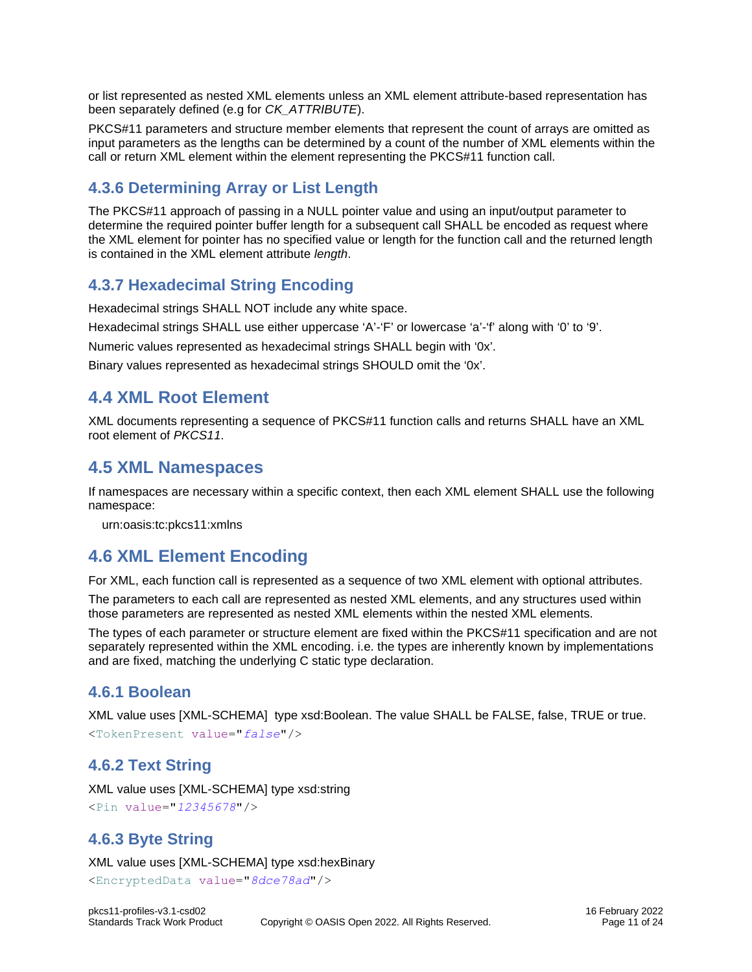or list represented as nested XML elements unless an XML element attribute-based representation has been separately defined (e.g for *CK\_ATTRIBUTE*).

PKCS#11 parameters and structure member elements that represent the count of arrays are omitted as input parameters as the lengths can be determined by a count of the number of XML elements within the call or return XML element within the element representing the PKCS#11 function call.

#### <span id="page-10-0"></span>**4.3.6 Determining Array or List Length**

The PKCS#11 approach of passing in a NULL pointer value and using an input/output parameter to determine the required pointer buffer length for a subsequent call SHALL be encoded as request where the XML element for pointer has no specified value or length for the function call and the returned length is contained in the XML element attribute *length*.

#### <span id="page-10-1"></span>**4.3.7 Hexadecimal String Encoding**

Hexadecimal strings SHALL NOT include any white space.

Hexadecimal strings SHALL use either uppercase 'A'-'F' or lowercase 'a'-'f' along with '0' to '9'.

Numeric values represented as hexadecimal strings SHALL begin with '0x'.

Binary values represented as hexadecimal strings SHOULD omit the '0x'.

#### <span id="page-10-2"></span>**4.4 XML Root Element**

XML documents representing a sequence of PKCS#11 function calls and returns SHALL have an XML root element of *PKCS11*.

#### <span id="page-10-3"></span>**4.5 XML Namespaces**

If namespaces are necessary within a specific context, then each XML element SHALL use the following namespace:

urn:oasis:tc:pkcs11:xmlns

### <span id="page-10-4"></span>**4.6 XML Element Encoding**

For XML, each function call is represented as a sequence of two XML element with optional attributes.

The parameters to each call are represented as nested XML elements, and any structures used within those parameters are represented as nested XML elements within the nested XML elements.

The types of each parameter or structure element are fixed within the PKCS#11 specification and are not separately represented within the XML encoding. i.e. the types are inherently known by implementations and are fixed, matching the underlying C static type declaration.

#### <span id="page-10-5"></span>**4.6.1 Boolean**

XML value uses [XML-SCHEMA] type xsd:Boolean. The value SHALL be FALSE, false, TRUE or true. <TokenPresent value="*false*"/>

#### <span id="page-10-6"></span>**4.6.2 Text String**

XML value uses [XML-SCHEMA] type xsd:string <Pin value="*12345678*"/>

#### <span id="page-10-7"></span>**4.6.3 Byte String**

XML value uses [XML-SCHEMA] type xsd:hexBinary

<EncryptedData value="*8dce78ad*"/>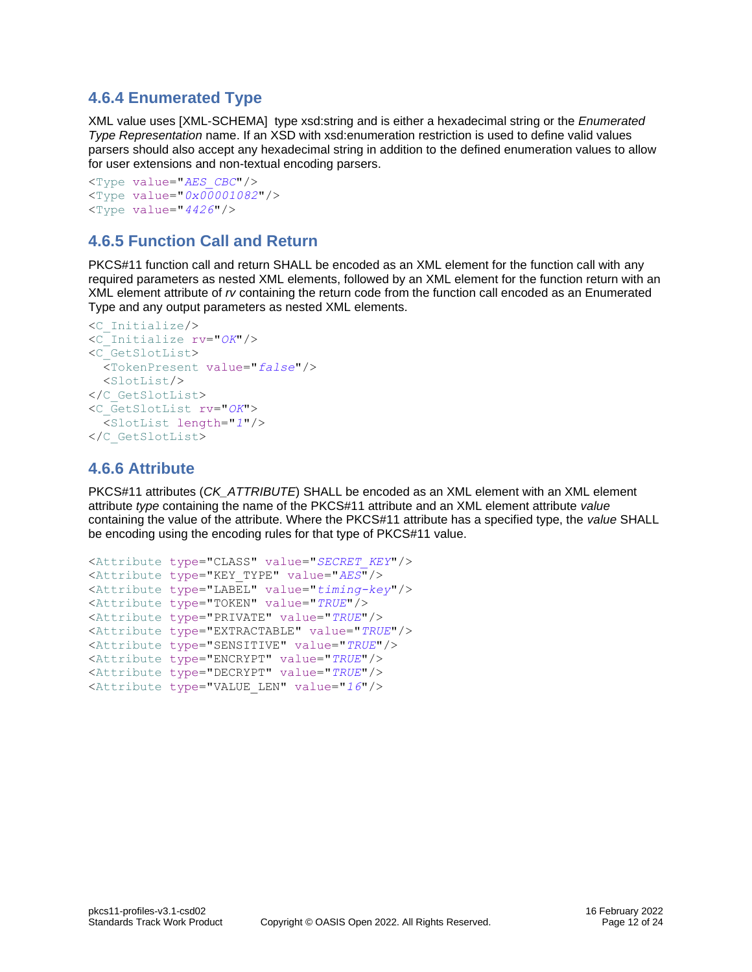#### <span id="page-11-0"></span>**4.6.4 Enumerated Type**

XML value uses [XML-SCHEMA] type xsd:string and is either a hexadecimal string or the *Enumerated Type Representation* name. If an XSD with xsd:enumeration restriction is used to define valid values parsers should also accept any hexadecimal string in addition to the defined enumeration values to allow for user extensions and non-textual encoding parsers.

```
<Type value="AES_CBC"/>
<Type value="0x00001082"/>
<Type value="4426"/>
```
#### <span id="page-11-1"></span>**4.6.5 Function Call and Return**

PKCS#11 function call and return SHALL be encoded as an XML element for the function call with any required parameters as nested XML elements, followed by an XML element for the function return with an XML element attribute of *rv* containing the return code from the function call encoded as an Enumerated Type and any output parameters as nested XML elements.

```
<C_Initialize/>
<C_Initialize rv="OK"/>
<C_GetSlotList>
   <TokenPresent value="false"/>
  <SlotList/>
</C_GetSlotList>
<C_GetSlotList rv="OK">
   <SlotList length="1"/>
</C_GetSlotList>
```
#### <span id="page-11-2"></span>**4.6.6 Attribute**

PKCS#11 attributes (*CK\_ATTRIBUTE*) SHALL be encoded as an XML element with an XML element attribute *type* containing the name of the PKCS#11 attribute and an XML element attribute *value*  containing the value of the attribute. Where the PKCS#11 attribute has a specified type, the *value* SHALL be encoding using the encoding rules for that type of PKCS#11 value.

```
<Attribute type="CLASS" value="SECRET_KEY"/>
<Attribute type="KEY_TYPE" value="AES"/>
<Attribute type="LABEL" value="timing-key"/>
<Attribute type="TOKEN" value="TRUE"/>
<Attribute type="PRIVATE" value="TRUE"/>
<Attribute type="EXTRACTABLE" value="TRUE"/>
<Attribute type="SENSITIVE" value="TRUE"/>
<Attribute type="ENCRYPT" value="TRUE"/>
<Attribute type="DECRYPT" value="TRUE"/>
<Attribute type="VALUE_LEN" value="16"/>
```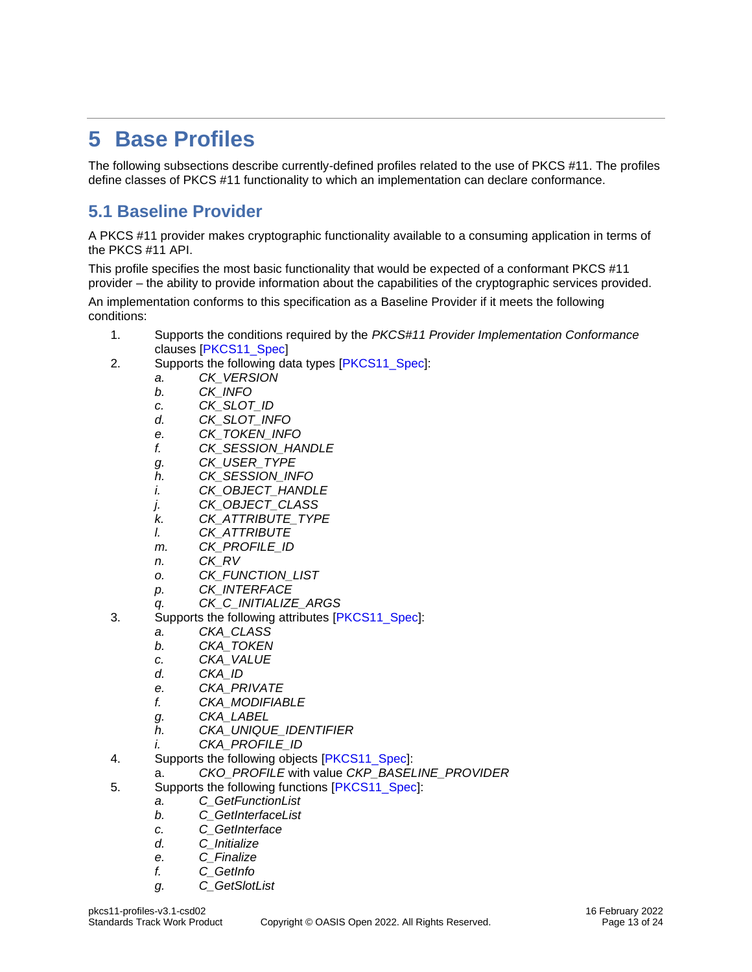## <span id="page-12-0"></span>**5 Base Profiles**

The following subsections describe currently-defined profiles related to the use of PKCS #11. The profiles define classes of PKCS #11 functionality to which an implementation can declare conformance.

### <span id="page-12-1"></span>**5.1 Baseline Provider**

A PKCS #11 provider makes cryptographic functionality available to a consuming application in terms of the PKCS #11 API.

This profile specifies the most basic functionality that would be expected of a conformant PKCS #11 provider – the ability to provide information about the capabilities of the cryptographic services provided.

An implementation conforms to this specification as a Baseline Provider if it meets the following conditions:

- 1. Supports the conditions required by the *PKCS#11 Provider Implementation Conformance*  clauses [\[PKCS11\\_Spec\]](#page-4-5)
- 2. Supports the following data types [\[PKCS11\\_Spec\]](#page-4-5):
	- *a. CK\_VERSION*
	- *b. CK\_INFO*
	- *c. CK\_SLOT\_ID*
	- *d. CK\_SLOT\_INFO*
	- *e. CK\_TOKEN\_INFO*
	- *f. CK\_SESSION\_HANDLE*
	- *g. CK\_USER\_TYPE*
	- *h. CK\_SESSION\_INFO*
	- *i. CK\_OBJECT\_HANDLE*
	- *j. CK\_OBJECT\_CLASS*
	- *k. CK\_ATTRIBUTE\_TYPE*
	- *l. CK\_ATTRIBUTE*
	- *m. CK\_PROFILE\_ID*
	- *n. CK\_RV*
	- *o. CK\_FUNCTION\_LIST*
	- *p. CK\_INTERFACE*
	- *q. CK\_C\_INITIALIZE\_ARGS*
- 3. Supports the following attributes [\[PKCS11\\_Spec\]](#page-4-5):
	- *a. CKA\_CLASS*
	- *b. CKA\_TOKEN*
	- *c. CKA\_VALUE*
	- *d. CKA\_ID*
	- *e. CKA\_PRIVATE*
	- *f. CKA\_MODIFIABLE*
	- *g. CKA\_LABEL*
	- *h. CKA\_UNIQUE\_IDENTIFIER*
	- *i. CKA\_PROFILE\_ID*
- 4. Supports the following objects [\[PKCS11\\_Spec\]](#page-4-5):
	- a. *CKO\_PROFILE* with value *CKP\_BASELINE\_PROVIDER*
- 5. Supports the following functions [\[PKCS11\\_Spec\]](#page-4-5):
	- *a. C\_GetFunctionList*
		- *b. C\_GetInterfaceList*
		- *c. C\_GetInterface*
		- *d. C\_Initialize*
		- *e. C\_Finalize*
		- *f. C\_GetInfo*
		- *g. C\_GetSlotList*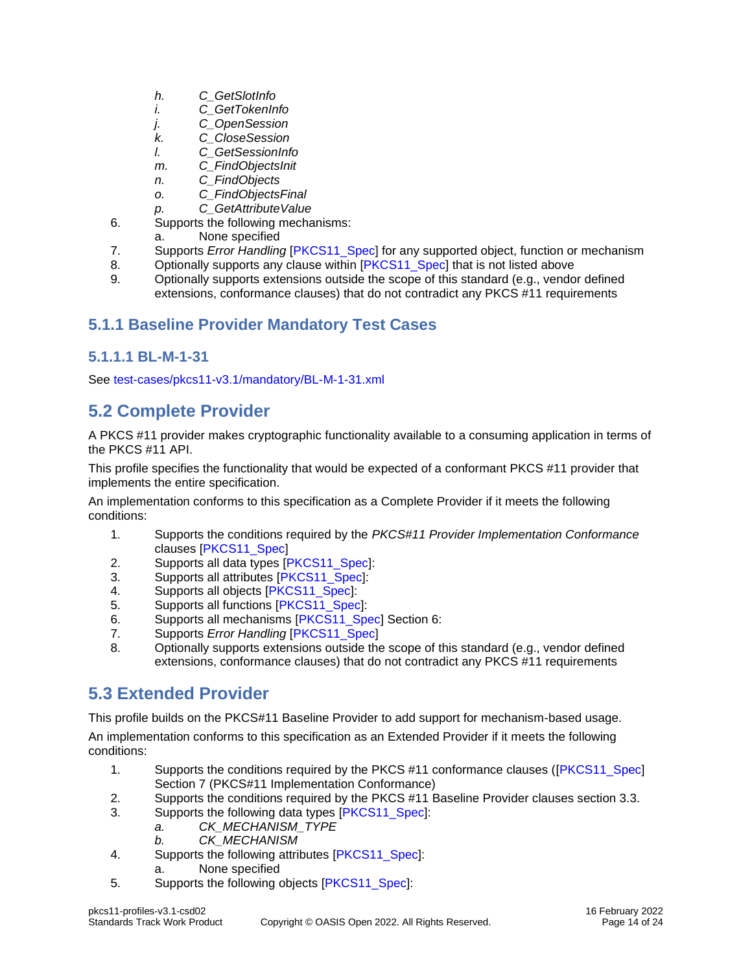- *h. C\_GetSlotInfo*
- *i. C\_GetTokenInfo*
- *j. C\_OpenSession*
- *k. C\_CloseSession*
- *l. C\_GetSessionInfo*
- *m. C\_FindObjectsInit*
- *n. C\_FindObjects*
- *o. C\_FindObjectsFinal*
- *p. C\_GetAttributeValue*
- 6. Supports the following mechanisms:
	- a. None specified
- 7. Supports *Error Handling* [\[PKCS11\\_Spec\]](#page-4-5) for any supported object, function or mechanism
- 8. Optionally supports any clause within [\[PKCS11\\_Spec\]](#page-4-5) that is not listed above
- 9. Optionally supports extensions outside the scope of this standard (e.g., vendor defined extensions, conformance clauses) that do not contradict any PKCS #11 requirements

#### <span id="page-13-0"></span>**5.1.1 Baseline Provider Mandatory Test Cases**

#### <span id="page-13-1"></span>**5.1.1.1 BL-M-1-31**

See<test-cases/pkcs11-v3.1/mandatory/BL-M-1-31.xml>

### <span id="page-13-2"></span>**5.2 Complete Provider**

A PKCS #11 provider makes cryptographic functionality available to a consuming application in terms of the PKCS #11 API.

This profile specifies the functionality that would be expected of a conformant PKCS #11 provider that implements the entire specification.

An implementation conforms to this specification as a Complete Provider if it meets the following conditions:

- 1. Supports the conditions required by the *PKCS#11 Provider Implementation Conformance*  clauses [\[PKCS11\\_Spec\]](#page-4-5)
- 2. Supports all data types [\[PKCS11\\_Spec\]](#page-4-5):
- 3. Supports all attributes [\[PKCS11\\_Spec\]](#page-4-5):
- 4. Supports all objects [\[PKCS11\\_Spec\]](#page-4-5):
- 5. Supports all functions [\[PKCS11\\_Spec\]](#page-4-5):
- 6. Supports all mechanisms [\[PKCS11\\_Spec\]](#page-4-5) Section 6:
- 7. Supports *Error Handling* [\[PKCS11\\_Spec\]](#page-4-5)
- 8. Optionally supports extensions outside the scope of this standard (e.g., vendor defined extensions, conformance clauses) that do not contradict any PKCS #11 requirements

## <span id="page-13-3"></span>**5.3 Extended Provider**

This profile builds on the PKCS#11 Baseline Provider to add support for mechanism-based usage.

An implementation conforms to this specification as an Extended Provider if it meets the following conditions:

- 1. Supports the conditions required by the PKCS #11 conformance clauses ([\[PKCS11\\_Spec\]](#page-4-5) Section 7 (PKCS#11 Implementation Conformance)
- 2. Supports the conditions required by the PKCS #11 Baseline Provider clauses section 3.3.
- 3. Supports the following data types [\[PKCS11\\_Spec\]](#page-4-5):
	- *a. CK\_MECHANISM\_TYPE*
	- *b. CK\_MECHANISM*
- 4. Supports the following attributes [\[PKCS11\\_Spec\]](#page-4-5):
	- a. None specified
- 5. Supports the following objects [\[PKCS11\\_Spec\]](#page-4-5):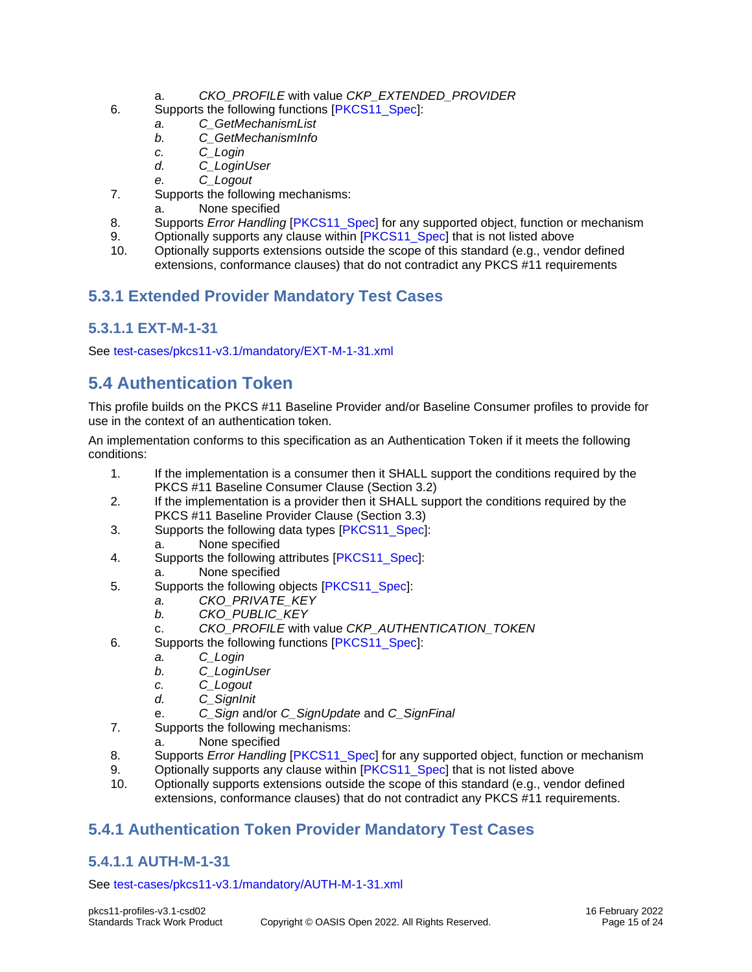- a. *CKO\_PROFILE* with value *CKP\_EXTENDED\_PROVIDER*
- 6. Supports the following functions [\[PKCS11\\_Spec\]](#page-4-5):
	- *a. C\_GetMechanismList*
	- *b. C\_GetMechanismInfo*
	- *c. C\_Login*
	- *d. C\_LoginUser*
	- *e. C\_Logout*
- 7. Supports the following mechanisms:
	- a. None specified
- 8. Supports *Error Handling* [\[PKCS11\\_Spec\]](#page-4-5) for any supported object, function or mechanism
- 9. Optionally supports any clause within [\[PKCS11\\_Spec\]](#page-4-5) that is not listed above
- 10. Optionally supports extensions outside the scope of this standard (e.g., vendor defined extensions, conformance clauses) that do not contradict any PKCS #11 requirements

#### <span id="page-14-0"></span>**5.3.1 Extended Provider Mandatory Test Cases**

#### <span id="page-14-1"></span>**5.3.1.1 EXT-M-1-31**

See<test-cases/pkcs11-v3.1/mandatory/EXT-M-1-31.xml>

### <span id="page-14-2"></span>**5.4 Authentication Token**

This profile builds on the PKCS #11 Baseline Provider and/or Baseline Consumer profiles to provide for use in the context of an authentication token.

An implementation conforms to this specification as an Authentication Token if it meets the following conditions:

- 1. If the implementation is a consumer then it SHALL support the conditions required by the PKCS #11 Baseline Consumer Clause (Section 3.2)
- 2. If the implementation is a provider then it SHALL support the conditions required by the PKCS #11 Baseline Provider Clause (Section 3.3)
- 3. Supports the following data types [\[PKCS11\\_Spec\]](#page-4-5): a. None specified
- 4. Supports the following attributes [\[PKCS11\\_Spec\]](#page-4-5):
	- a. None specified
- 5. Supports the following objects [\[PKCS11\\_Spec\]](#page-4-5):
	- *a. CKO\_PRIVATE\_KEY*
	- *b. CKO\_PUBLIC\_KEY*
	- c. *CKO\_PROFILE* with value *CKP\_AUTHENTICATION\_TOKEN*
- 6. Supports the following functions [\[PKCS11\\_Spec\]](#page-4-5):
	- *a. C\_Login*
		- *b. C\_LoginUser*
		- *c. C\_Logout*
		- *d. C\_SignInit*
		- e. *C\_Sign* and/or *C\_SignUpdate* and *C\_SignFinal*
- 7. Supports the following mechanisms:
	- a. None specified
- 8. Supports *Error Handling* [\[PKCS11\\_Spec\]](#page-4-5) for any supported object, function or mechanism
- 9. Optionally supports any clause within [\[PKCS11\\_Spec\]](#page-4-5) that is not listed above
- 10. Optionally supports extensions outside the scope of this standard (e.g., vendor defined extensions, conformance clauses) that do not contradict any PKCS #11 requirements.

#### <span id="page-14-3"></span>**5.4.1 Authentication Token Provider Mandatory Test Cases**

#### <span id="page-14-4"></span>**5.4.1.1 AUTH-M-1-31**

See<test-cases/pkcs11-v3.1/mandatory/AUTH-M-1-31.xml>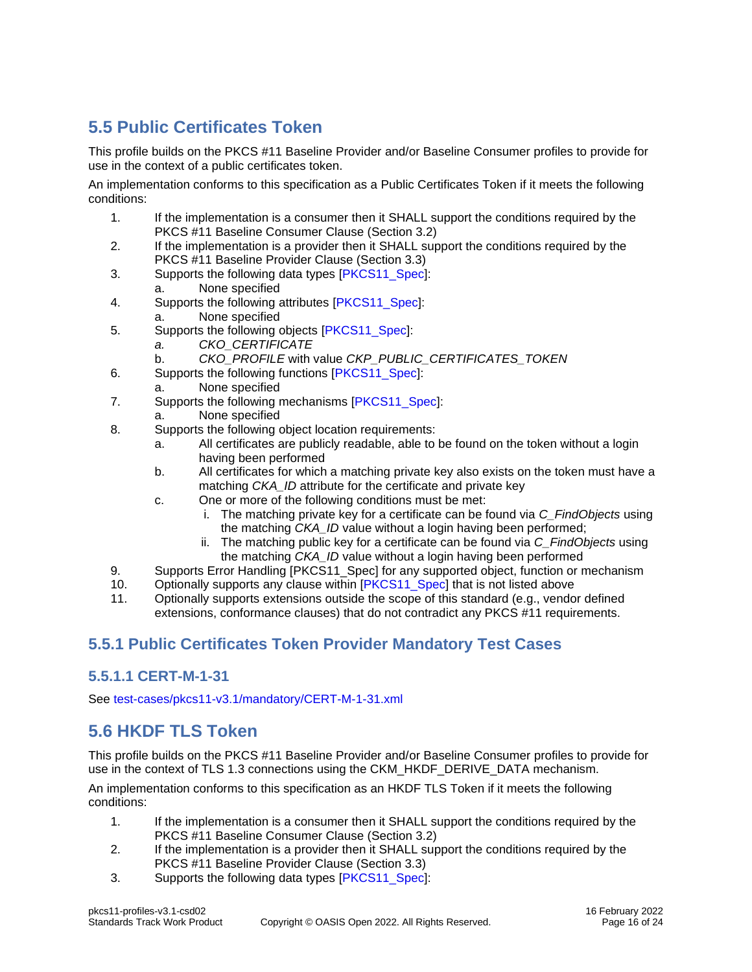## <span id="page-15-0"></span>**5.5 Public Certificates Token**

This profile builds on the PKCS #11 Baseline Provider and/or Baseline Consumer profiles to provide for use in the context of a public certificates token.

An implementation conforms to this specification as a Public Certificates Token if it meets the following conditions:

- 1. If the implementation is a consumer then it SHALL support the conditions required by the PKCS #11 Baseline Consumer Clause (Section 3.2)
- 2. If the implementation is a provider then it SHALL support the conditions required by the PKCS #11 Baseline Provider Clause (Section 3.3)
- 3. Supports the following data types [\[PKCS11\\_Spec\]](#page-4-5):
	- a. None specified
- 4. Supports the following attributes [\[PKCS11\\_Spec\]](#page-4-5):
	- a. None specified
- 5. Supports the following objects [\[PKCS11\\_Spec\]](#page-4-5):
	- *a. CKO\_CERTIFICATE*
	- b. *CKO\_PROFILE* with value *CKP\_PUBLIC\_CERTIFICATES\_TOKEN*
- 6. Supports the following functions [\[PKCS11\\_Spec\]](#page-4-5):
	- a. None specified
- 7. Supports the following mechanisms [\[PKCS11\\_Spec\]](#page-4-5):
- a. None specified
- 8. Supports the following object location requirements:
	- a. All certificates are publicly readable, able to be found on the token without a login having been performed
	- b. All certificates for which a matching private key also exists on the token must have a matching *CKA\_ID* attribute for the certificate and private key
	- c. One or more of the following conditions must be met:
		- i. The matching private key for a certificate can be found via *C\_FindObjects* using the matching *CKA\_ID* value without a login having been performed;
		- ii. The matching public key for a certificate can be found via *C\_FindObjects* using the matching *CKA\_ID* value without a login having been performed
- 9. Supports Error Handling [PKCS11\_Spec] for any supported object, function or mechanism
- 10. Optionally supports any clause within [\[PKCS11\\_Spec\]](#page-4-5) that is not listed above
- 11. Optionally supports extensions outside the scope of this standard (e.g., vendor defined extensions, conformance clauses) that do not contradict any PKCS #11 requirements.

#### <span id="page-15-1"></span>**5.5.1 Public Certificates Token Provider Mandatory Test Cases**

#### <span id="page-15-2"></span>**5.5.1.1 CERT-M-1-31**

See<test-cases/pkcs11-v3.1/mandatory/CERT-M-1-31.xml>

### <span id="page-15-3"></span>**5.6 HKDF TLS Token**

This profile builds on the PKCS #11 Baseline Provider and/or Baseline Consumer profiles to provide for use in the context of TLS 1.3 connections using the CKM\_HKDF\_DERIVE\_DATA mechanism.

An implementation conforms to this specification as an HKDF TLS Token if it meets the following conditions:

- 1. If the implementation is a consumer then it SHALL support the conditions required by the PKCS #11 Baseline Consumer Clause (Section 3.2)
- 2. If the implementation is a provider then it SHALL support the conditions required by the PKCS #11 Baseline Provider Clause (Section 3.3)
- 3. Supports the following data types [\[PKCS11\\_Spec\]](#page-4-5):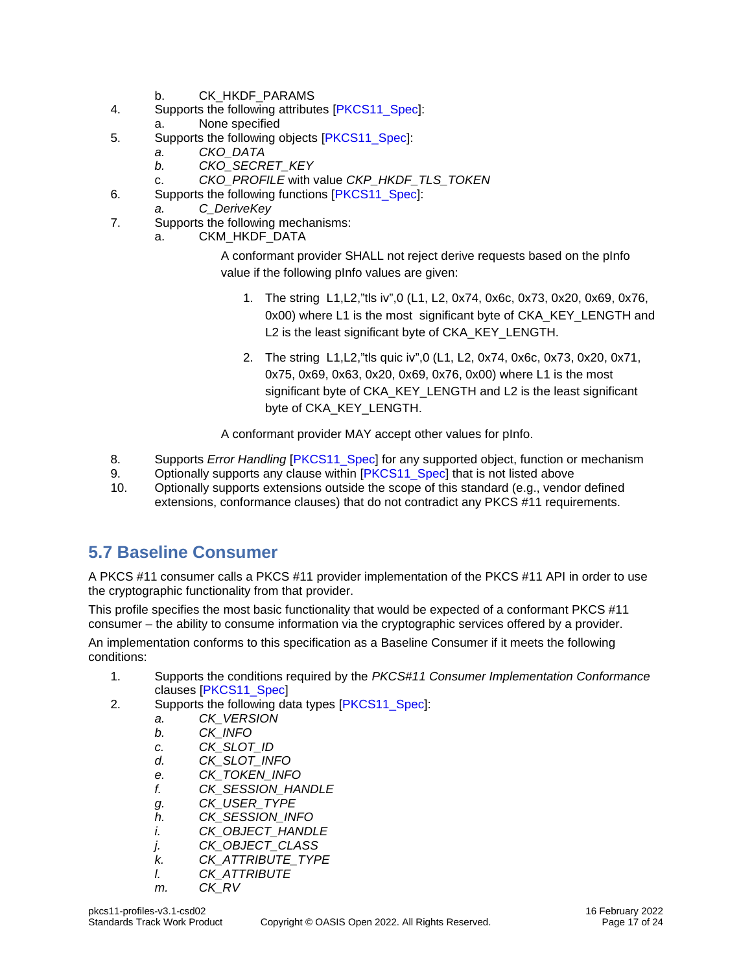- b. CK\_HKDF\_PARAMS
- 4. Supports the following attributes [\[PKCS11\\_Spec\]](#page-4-5):
	- a. None specified
- 5. Supports the following objects [\[PKCS11\\_Spec\]](#page-4-5):
	- *a. CKO\_DATA*
		- *b. CKO\_SECRET\_KEY*
- c. *CKO\_PROFILE* with value *CKP\_HKDF\_TLS\_TOKEN*
- 6. Supports the following functions [\[PKCS11\\_Spec\]](#page-4-5):
- *a. C\_DeriveKey*
- 7. Supports the following mechanisms:
	- a. CKM\_HKDF\_DATA

A conformant provider SHALL not reject derive requests based on the pInfo value if the following pInfo values are given:

- 1. The string L1,L2,"tls iv",0 (L1, L2, 0x74, 0x6c, 0x73, 0x20, 0x69, 0x76, 0x00) where L1 is the most significant byte of CKA\_KEY\_LENGTH and L2 is the least significant byte of CKA\_KEY\_LENGTH.
- 2. The string L1,L2,"tls quic iv",0 (L1, L2, 0x74, 0x6c, 0x73, 0x20, 0x71, 0x75, 0x69, 0x63, 0x20, 0x69, 0x76, 0x00) where L1 is the most significant byte of CKA\_KEY\_LENGTH and L2 is the least significant byte of CKA\_KEY\_LENGTH.

A conformant provider MAY accept other values for pInfo.

- 8. Supports *Error Handling* [\[PKCS11\\_Spec\]](#page-4-5) for any supported object, function or mechanism
- 9. Optionally supports any clause within [\[PKCS11\\_Spec\]](#page-4-5) that is not listed above
- 10. Optionally supports extensions outside the scope of this standard (e.g., vendor defined extensions, conformance clauses) that do not contradict any PKCS #11 requirements.

#### <span id="page-16-0"></span>**5.7 Baseline Consumer**

A PKCS #11 consumer calls a PKCS #11 provider implementation of the PKCS #11 API in order to use the cryptographic functionality from that provider.

This profile specifies the most basic functionality that would be expected of a conformant PKCS #11 consumer – the ability to consume information via the cryptographic services offered by a provider. An implementation conforms to this specification as a Baseline Consumer if it meets the following conditions:

- 1. Supports the conditions required by the *PKCS#11 Consumer Implementation Conformance*  clauses [\[PKCS11\\_Spec\]](#page-4-5)
- 2. Supports the following data types [\[PKCS11\\_Spec\]](#page-4-5):
	- *a. CK\_VERSION*
	- *b. CK\_INFO*
	- *c. CK\_SLOT\_ID*
	- *d. CK\_SLOT\_INFO*
	- *e. CK\_TOKEN\_INFO*
	- *f. CK\_SESSION\_HANDLE*
	- *g. CK\_USER\_TYPE*
	- *h. CK\_SESSION\_INFO*
	- *i. CK\_OBJECT\_HANDLE*
	- *j. CK\_OBJECT\_CLASS*
	- *k. CK\_ATTRIBUTE\_TYPE*
	- *l. CK\_ATTRIBUTE*
	- *m. CK\_RV*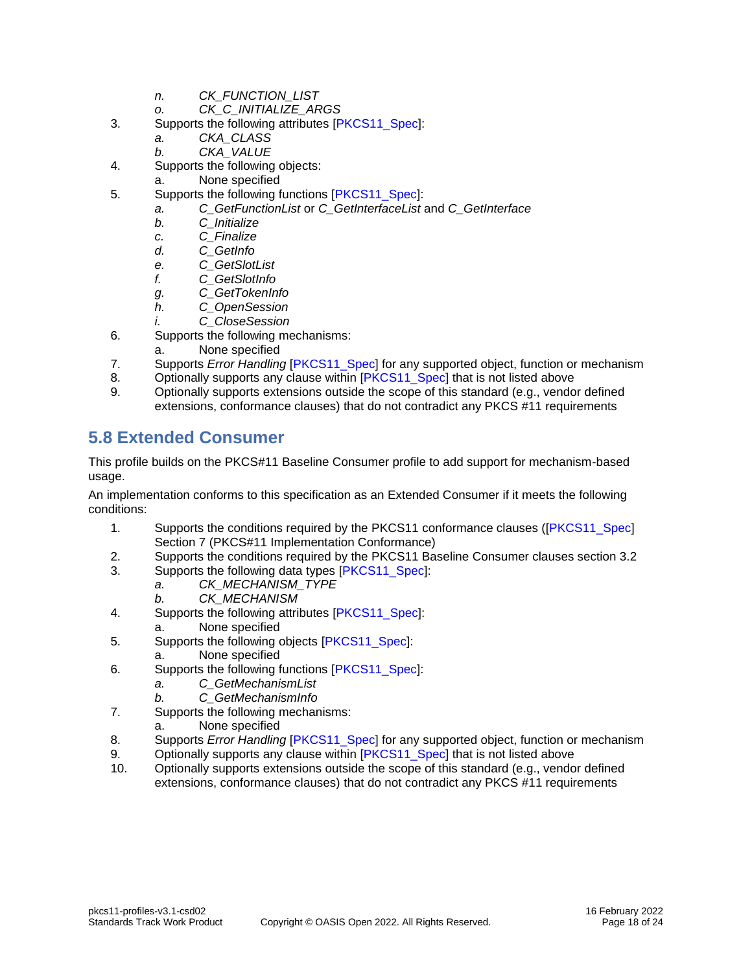- *n. CK\_FUNCTION\_LIST*
- *o. CK\_C\_INITIALIZE\_ARGS*
- 3. Supports the following attributes [\[PKCS11\\_Spec\]](#page-4-5):
	- *a. CKA\_CLASS*
	- *b. CKA\_VALUE*
- 4. Supports the following objects:
	- a. None specified
- 5. Supports the following functions [\[PKCS11\\_Spec\]](#page-4-5):
	- *a. C\_GetFunctionList* or *C\_GetInterfaceList* and *C\_GetInterface* 
		- *b. C\_Initialize*
		- *c. C\_Finalize*
		- *d. C\_GetInfo*
		- *e. C\_GetSlotList*
		- *f. C\_GetSlotInfo*
		- *g. C\_GetTokenInfo*
		- *h. C\_OpenSession*
		- *i. C\_CloseSession*
- 6. Supports the following mechanisms:
	- a. None specified
- 7. Supports *Error Handling* [\[PKCS11\\_Spec\]](#page-4-5) for any supported object, function or mechanism
- 8. Optionally supports any clause within [\[PKCS11\\_Spec\]](#page-4-5) that is not listed above
- 9. Optionally supports extensions outside the scope of this standard (e.g., vendor defined extensions, conformance clauses) that do not contradict any PKCS #11 requirements

### <span id="page-17-0"></span>**5.8 Extended Consumer**

This profile builds on the PKCS#11 Baseline Consumer profile to add support for mechanism-based usage.

An implementation conforms to this specification as an Extended Consumer if it meets the following conditions:

- 1. Supports the conditions required by the PKCS11 conformance clauses ([PKCS11 Spec] Section 7 (PKCS#11 Implementation Conformance)
- 2. Supports the conditions required by the PKCS11 Baseline Consumer clauses section 3.2
- 3. Supports the following data types [\[PKCS11\\_Spec\]](#page-4-5):
	- *a. CK\_MECHANISM\_TYPE*
		- *b. CK\_MECHANISM*
- 4. Supports the following attributes [\[PKCS11\\_Spec\]](#page-4-5):
- a. None specified
- 5. Supports the following objects [\[PKCS11\\_Spec\]](#page-4-5):
	- a. None specified
- 6. Supports the following functions [\[PKCS11\\_Spec\]](#page-4-5):
	- *a. C\_GetMechanismList*
	- *b. C\_GetMechanismInfo*
- 7. Supports the following mechanisms:
	- a. None specified
- 8. Supports *Error Handling* [\[PKCS11\\_Spec\]](#page-4-5) for any supported object, function or mechanism
- 9. Optionally supports any clause within [\[PKCS11\\_Spec\]](#page-4-5) that is not listed above
- 10. Optionally supports extensions outside the scope of this standard (e.g., vendor defined extensions, conformance clauses) that do not contradict any PKCS #11 requirements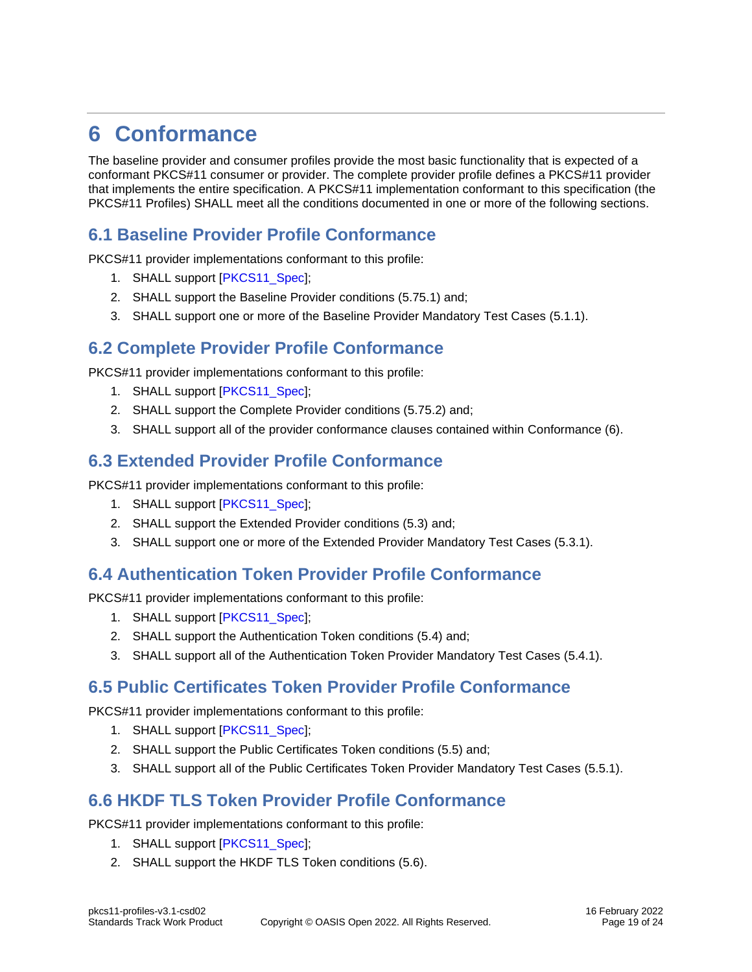## <span id="page-18-0"></span>**6 Conformance**

The baseline provider and consumer profiles provide the most basic functionality that is expected of a conformant PKCS#11 consumer or provider. The complete provider profile defines a PKCS#11 provider that implements the entire specification. A PKCS#11 implementation conformant to this specification (the PKCS#11 Profiles) SHALL meet all the conditions documented in one or more of the following sections.

### <span id="page-18-1"></span>**6.1 Baseline Provider Profile Conformance**

PKCS#11 provider implementations conformant to this profile:

- 1. SHALL support [\[PKCS11\\_Spec\]](#page-4-5);
- 2. SHALL support the [Baseline Provider](#page-12-1) conditions [\(5.7](#page-16-0)[5.1\)](#page-12-1) and;
- 3. SHALL support one or more of the [Baseline Provider Mandatory Test Cases](#page-13-0) [\(5.1.1\)](#page-13-0).

#### <span id="page-18-2"></span>**6.2 Complete Provider Profile Conformance**

PKCS#11 provider implementations conformant to this profile:

- 1. SHALL support [\[PKCS11\\_Spec\]](#page-4-5);
- 2. SHALL support the [Complete Provider](#page-13-2) conditions [\(5.7](#page-16-0)[5.2\)](#page-13-2) and;
- 3. SHALL support all of the provider conformance clauses contained within [Conformance](#page-18-0) [\(6\)](#page-18-0).

#### <span id="page-18-3"></span>**6.3 Extended Provider Profile Conformance**

PKCS#11 provider implementations conformant to this profile:

- 1. SHALL support [\[PKCS11\\_Spec\]](#page-4-5);
- 2. SHALL support the [Extended Provider](#page-13-3) conditions [\(5.3\)](#page-13-3) and;
- 3. SHALL support one or more of the [Extended Provider Mandatory Test Cases](#page-14-0) [\(5.3.1\)](#page-14-0).

#### <span id="page-18-4"></span>**6.4 Authentication Token Provider Profile Conformance**

PKCS#11 provider implementations conformant to this profile:

- 1. SHALL support [\[PKCS11\\_Spec\]](#page-4-5);
- 2. SHALL support the [Authentication Token](#page-14-2) conditions [\(5.4\)](#page-14-2) and;
- 3. SHALL support all of the [Authentication Token Provider Mandatory Test Cases](#page-14-3) [\(5.4.1\)](#page-14-3).

#### <span id="page-18-5"></span>**6.5 Public Certificates Token Provider Profile Conformance**

PKCS#11 provider implementations conformant to this profile:

- 1. SHALL support [\[PKCS11\\_Spec\]](#page-4-5);
- 2. SHALL support the [Public Certificates Token](#page-15-0) conditions [\(5.5\)](#page-15-0) and;
- 3. SHALL support all of the [Public Certificates Token Provider Mandatory Test Cases](#page-15-1) [\(5.5.1\)](#page-15-1).

#### <span id="page-18-6"></span>**6.6 HKDF TLS Token Provider Profile Conformance**

PKCS#11 provider implementations conformant to this profile:

- 1. SHALL support [\[PKCS11\\_Spec\]](#page-4-5);
- 2. SHALL support the [HKDF TLS Token](#page-15-3) conditions [\(5.6\)](#page-15-3).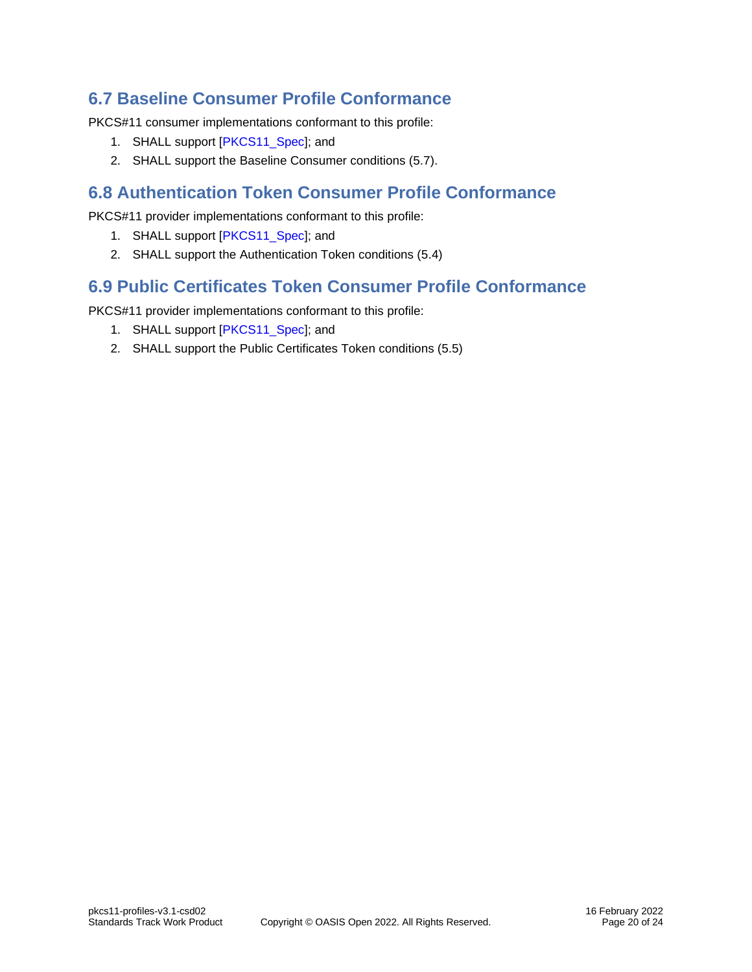### <span id="page-19-0"></span>**6.7 Baseline Consumer Profile Conformance**

PKCS#11 consumer implementations conformant to this profile:

- 1. SHALL support [\[PKCS11\\_Spec\]](#page-4-5); and
- 2. SHALL support the [Baseline Consumer](#page-16-0) conditions [\(5.7\)](#page-16-0).

#### <span id="page-19-1"></span>**6.8 Authentication Token Consumer Profile Conformance**

PKCS#11 provider implementations conformant to this profile:

- 1. SHALL support [\[PKCS11\\_Spec\]](#page-4-5); and
- 2. SHALL support the [Authentication Token](#page-14-2) conditions [\(5.4\)](#page-14-2)

#### <span id="page-19-2"></span>**6.9 Public Certificates Token Consumer Profile Conformance**

PKCS#11 provider implementations conformant to this profile:

- 1. SHALL support [\[PKCS11\\_Spec\]](#page-4-5); and
- 2. SHALL support the [Public Certificates Token](#page-15-0) conditions [\(5.5\)](#page-15-0)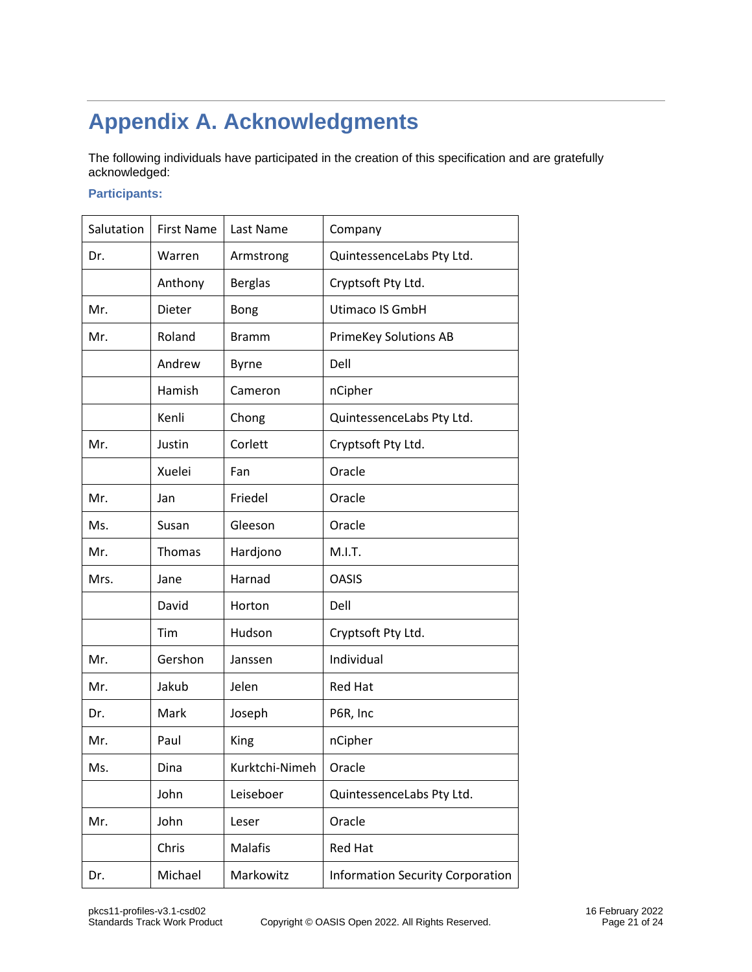## <span id="page-20-0"></span>**Appendix A. Acknowledgments**

The following individuals have participated in the creation of this specification and are gratefully acknowledged:

#### **Participants:**

| Salutation | <b>First Name</b> | Last Name      | Company                                 |
|------------|-------------------|----------------|-----------------------------------------|
| Dr.        | Warren            | Armstrong      | QuintessenceLabs Pty Ltd.               |
|            | Anthony           | <b>Berglas</b> | Cryptsoft Pty Ltd.                      |
| Mr.        | Dieter            | Bong           | Utimaco IS GmbH                         |
| Mr.        | Roland            | <b>Bramm</b>   | <b>PrimeKey Solutions AB</b>            |
|            | Andrew            | <b>Byrne</b>   | Dell                                    |
|            | Hamish            | Cameron        | nCipher                                 |
|            | Kenli             | Chong          | QuintessenceLabs Pty Ltd.               |
| Mr.        | Justin            | Corlett        | Cryptsoft Pty Ltd.                      |
|            | Xuelei            | Fan            | Oracle                                  |
| Mr.        | Jan               | Friedel        | Oracle                                  |
| Ms.        | Susan             | Gleeson        | Oracle                                  |
| Mr.        | Thomas            | Hardjono       | M.I.T.                                  |
| Mrs.       | Jane              | Harnad         | <b>OASIS</b>                            |
|            | David             | Horton         | Dell                                    |
|            | Tim               | Hudson         | Cryptsoft Pty Ltd.                      |
| Mr.        | Gershon           | Janssen        | Individual                              |
| Mr.        | Jakub             | Jelen          | <b>Red Hat</b>                          |
| Dr.        | Mark              | Joseph         | P6R, Inc                                |
| Mr.        | Paul              | King           | nCipher                                 |
| Ms.        | Dina              | Kurktchi-Nimeh | Oracle                                  |
|            | John              | Leiseboer      | QuintessenceLabs Pty Ltd.               |
| Mr.        | John              | Leser          | Oracle                                  |
|            | Chris             | <b>Malafis</b> | <b>Red Hat</b>                          |
| Dr.        | Michael           | Markowitz      | <b>Information Security Corporation</b> |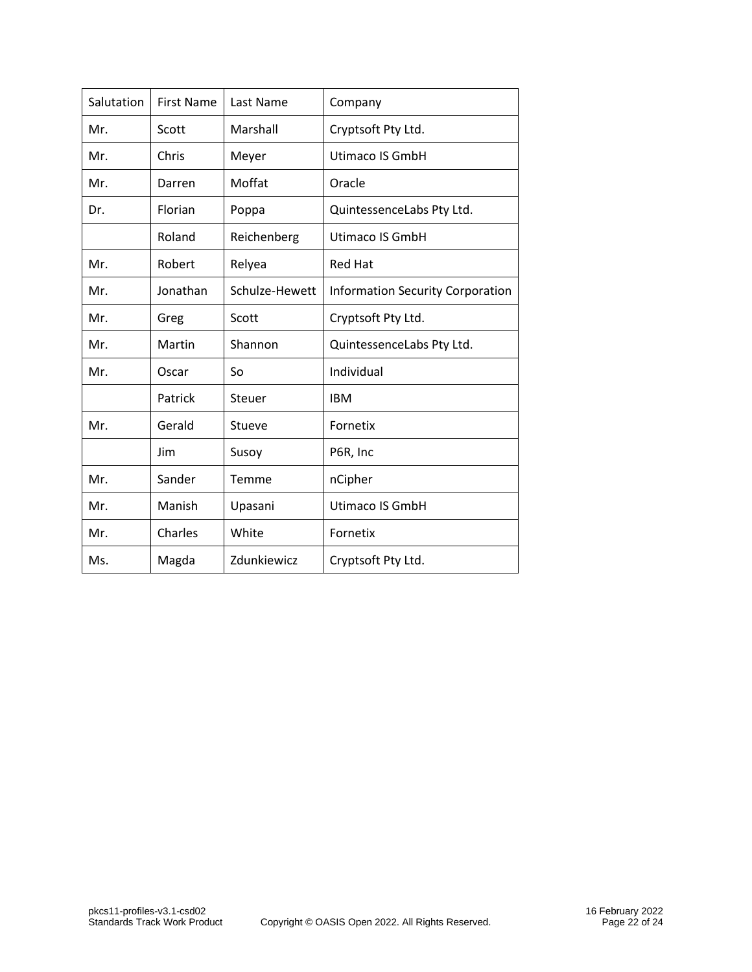| Salutation | <b>First Name</b> | Last Name      | Company                                 |
|------------|-------------------|----------------|-----------------------------------------|
| Mr.        | Scott             | Marshall       | Cryptsoft Pty Ltd.                      |
| Mr.        | Chris             | Meyer          | Utimaco IS GmbH                         |
| Mr.        | Darren            | Moffat         | Oracle                                  |
| Dr.        | Florian           | Poppa          | QuintessenceLabs Pty Ltd.               |
|            | Roland            | Reichenberg    | Utimaco IS GmbH                         |
| Mr.        | Robert            | Relyea         | <b>Red Hat</b>                          |
| Mr.        | Jonathan          | Schulze-Hewett | <b>Information Security Corporation</b> |
| Mr.        | Greg              | Scott          | Cryptsoft Pty Ltd.                      |
| Mr.        | Martin            | Shannon        | QuintessenceLabs Pty Ltd.               |
| Mr.        | Oscar             | So             | Individual                              |
|            | Patrick           | Steuer         | <b>IBM</b>                              |
| Mr.        | Gerald            | Stueve         | Fornetix                                |
|            | Jim               | Susoy          | P6R, Inc                                |
| Mr.        | Sander            | Temme          | nCipher                                 |
| Mr.        | Manish            | Upasani        | Utimaco IS GmbH                         |
| Mr.        | Charles           | White          | Fornetix                                |
| Ms.        | Magda             | Zdunkiewicz    | Cryptsoft Pty Ltd.                      |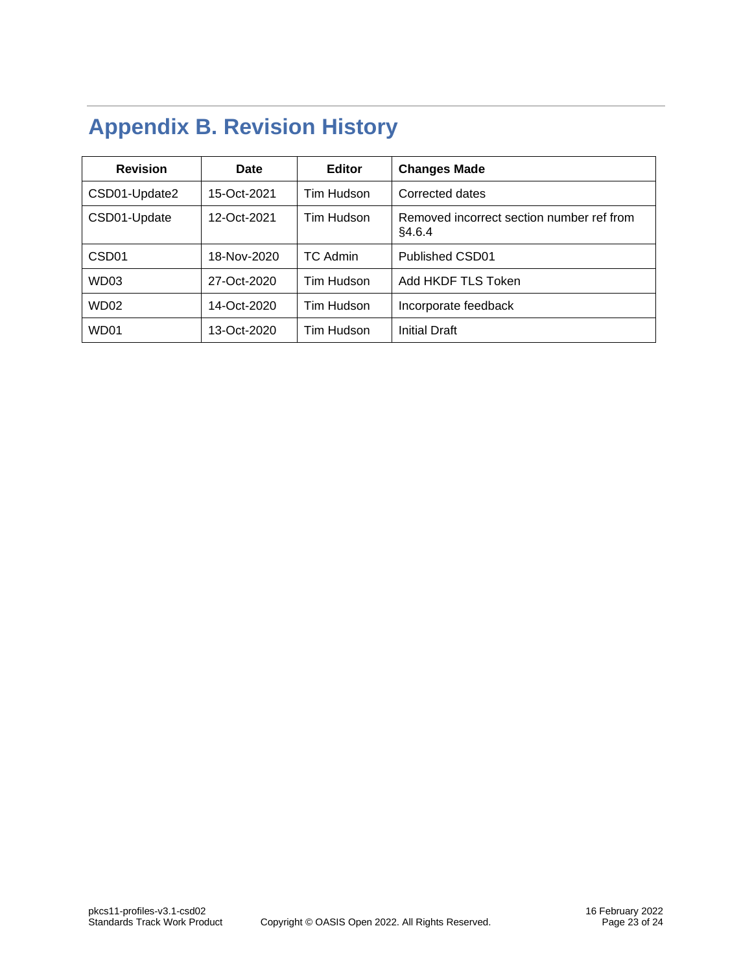## <span id="page-22-0"></span>**Appendix B. Revision History**

| <b>Revision</b>   | Date        | <b>Editor</b> | <b>Changes Made</b>                                 |
|-------------------|-------------|---------------|-----------------------------------------------------|
| CSD01-Update2     | 15-Oct-2021 | Tim Hudson    | Corrected dates                                     |
| CSD01-Update      | 12-Oct-2021 | Tim Hudson    | Removed incorrect section number ref from<br>§4.6.4 |
| CSD <sub>01</sub> | 18-Nov-2020 | TC Admin      | Published CSD01                                     |
| WD03              | 27-Oct-2020 | Tim Hudson    | Add HKDF TLS Token                                  |
| WD <sub>02</sub>  | 14-Oct-2020 | Tim Hudson    | Incorporate feedback                                |
| WD01              | 13-Oct-2020 | Tim Hudson    | Initial Draft                                       |